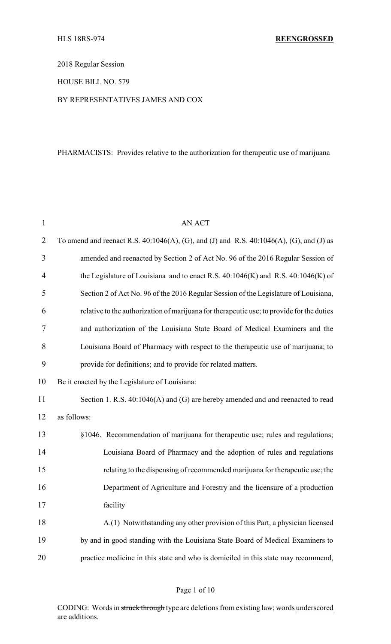2018 Regular Session

HOUSE BILL NO. 579

# BY REPRESENTATIVES JAMES AND COX

# PHARMACISTS: Provides relative to the authorization for therapeutic use of marijuana

| $\mathbf{1}$   | <b>AN ACT</b>                                                                                 |
|----------------|-----------------------------------------------------------------------------------------------|
| $\overline{2}$ | To amend and reenact R.S. $40:1046(A)$ , (G), and (J) and R.S. $40:1046(A)$ , (G), and (J) as |
| 3              | amended and reenacted by Section 2 of Act No. 96 of the 2016 Regular Session of               |
| $\overline{4}$ | the Legislature of Louisiana and to enact R.S. $40:1046(K)$ and R.S. $40:1046(K)$ of          |
| 5              | Section 2 of Act No. 96 of the 2016 Regular Session of the Legislature of Louisiana,          |
| 6              | relative to the authorization of marijuana for therapeutic use; to provide for the duties     |
| 7              | and authorization of the Louisiana State Board of Medical Examiners and the                   |
| 8              | Louisiana Board of Pharmacy with respect to the therapeutic use of marijuana; to              |
| 9              | provide for definitions; and to provide for related matters.                                  |
| 10             | Be it enacted by the Legislature of Louisiana:                                                |
| 11             | Section 1. R.S. 40:1046(A) and (G) are hereby amended and and reenacted to read               |
| 12             | as follows:                                                                                   |
| 13             | §1046. Recommendation of marijuana for therapeutic use; rules and regulations;                |
| 14             | Louisiana Board of Pharmacy and the adoption of rules and regulations                         |
| 15             | relating to the dispensing of recommended marijuana for therapeutic use; the                  |
| 16             | Department of Agriculture and Forestry and the licensure of a production                      |
| 17             | facility                                                                                      |
| 18             | A.(1) Notwithstanding any other provision of this Part, a physician licensed                  |
| 19             | by and in good standing with the Louisiana State Board of Medical Examiners to                |
| 20             | practice medicine in this state and who is domiciled in this state may recommend,             |

CODING: Words in struck through type are deletions from existing law; words underscored are additions.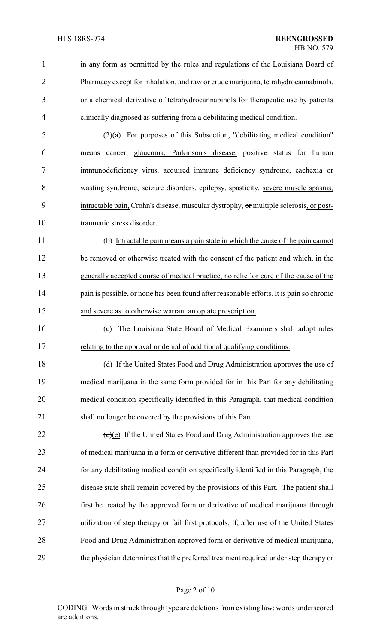in any form as permitted by the rules and regulations of the Louisiana Board of Pharmacy except for inhalation, and raw or crude marijuana, tetrahydrocannabinols, or a chemical derivative of tetrahydrocannabinols for therapeutic use by patients clinically diagnosed as suffering from a debilitating medical condition.

 (2)(a) For purposes of this Subsection, "debilitating medical condition" means cancer, glaucoma, Parkinson's disease, positive status for human immunodeficiency virus, acquired immune deficiency syndrome, cachexia or wasting syndrome, seizure disorders, epilepsy, spasticity, severe muscle spasms, 9 intractable pain, Crohn's disease, muscular dystrophy, or multiple sclerosis, or post-10 traumatic stress disorder.

 (b) Intractable pain means a pain state in which the cause of the pain cannot be removed or otherwise treated with the consent of the patient and which, in the generally accepted course of medical practice, no relief or cure of the cause of the pain is possible, or none has been found after reasonable efforts. It is pain so chronic and severe as to otherwise warrant an opiate prescription.

 (c) The Louisiana State Board of Medical Examiners shall adopt rules relating to the approval or denial of additional qualifying conditions.

 (d) If the United States Food and Drug Administration approves the use of medical marijuana in the same form provided for in this Part for any debilitating medical condition specifically identified in this Paragraph, that medical condition shall no longer be covered by the provisions of this Part.

 $\text{(e)}$  (e) If the United States Food and Drug Administration approves the use of medical marijuana in a form or derivative different than provided for in this Part for any debilitating medical condition specifically identified in this Paragraph, the disease state shall remain covered by the provisions of this Part. The patient shall first be treated by the approved form or derivative of medical marijuana through utilization of step therapy or fail first protocols. If, after use of the United States Food and Drug Administration approved form or derivative of medical marijuana, the physician determines that the preferred treatment required under step therapy or

CODING: Words in struck through type are deletions from existing law; words underscored are additions.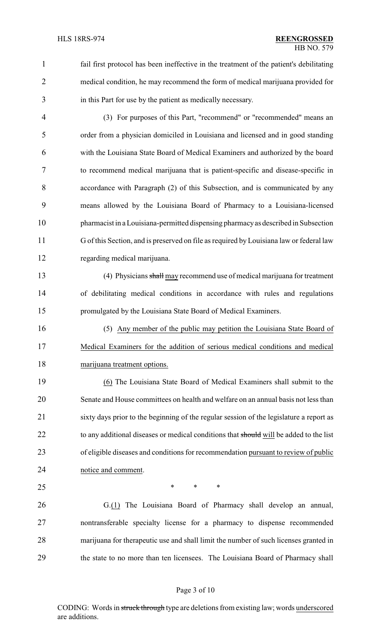1 fail first protocol has been ineffective in the treatment of the patient's debilitating medical condition, he may recommend the form of medical marijuana provided for in this Part for use by the patient as medically necessary.

 (3) For purposes of this Part, "recommend" or "recommended" means an order from a physician domiciled in Louisiana and licensed and in good standing with the Louisiana State Board of Medical Examiners and authorized by the board to recommend medical marijuana that is patient-specific and disease-specific in accordance with Paragraph (2) of this Subsection, and is communicated by any means allowed by the Louisiana Board of Pharmacy to a Louisiana-licensed pharmacist in a Louisiana-permitted dispensing pharmacyas described in Subsection G of this Section, and is preserved on file as required by Louisiana law or federal law regarding medical marijuana.

 (4) Physicians shall may recommend use of medical marijuana for treatment of debilitating medical conditions in accordance with rules and regulations promulgated by the Louisiana State Board of Medical Examiners.

 (5) Any member of the public may petition the Louisiana State Board of Medical Examiners for the addition of serious medical conditions and medical marijuana treatment options.

 (6) The Louisiana State Board of Medical Examiners shall submit to the Senate and House committees on health and welfare on an annual basis not less than sixty days prior to the beginning of the regular session of the legislature a report as 22 to any additional diseases or medical conditions that should will be added to the list of eligible diseases and conditions for recommendation pursuant to review of public notice and comment.

 $*$  \* \* \*

 G.(1) The Louisiana Board of Pharmacy shall develop an annual, nontransferable specialty license for a pharmacy to dispense recommended marijuana for therapeutic use and shall limit the number of such licenses granted in the state to no more than ten licensees. The Louisiana Board of Pharmacy shall

## Page 3 of 10

CODING: Words in struck through type are deletions from existing law; words underscored are additions.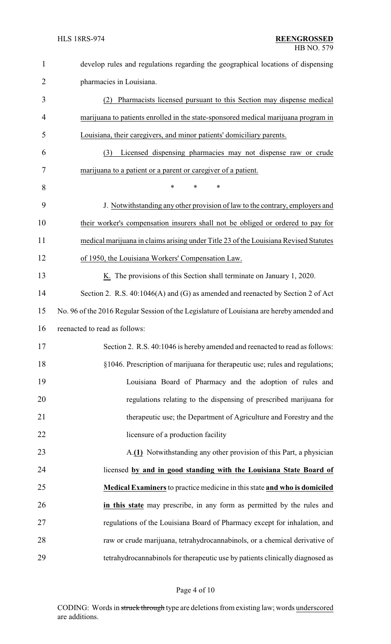| $\mathbf{1}$ | develop rules and regulations regarding the geographical locations of dispensing          |
|--------------|-------------------------------------------------------------------------------------------|
| 2            | pharmacies in Louisiana.                                                                  |
| 3            | Pharmacists licensed pursuant to this Section may dispense medical<br>(2)                 |
| 4            | marijuana to patients enrolled in the state-sponsored medical marijuana program in        |
| 5            | Louisiana, their caregivers, and minor patients' domiciliary parents.                     |
| 6            | Licensed dispensing pharmacies may not dispense raw or crude<br>(3)                       |
| 7            | marijuana to a patient or a parent or caregiver of a patient.                             |
| 8            | $\ast$<br>$\ast$<br>$\ast$                                                                |
| 9            | J. Notwithstanding any other provision of law to the contrary, employers and              |
| 10           | their worker's compensation insurers shall not be obliged or ordered to pay for           |
| 11           | medical marijuana in claims arising under Title 23 of the Louisiana Revised Statutes      |
| 12           | of 1950, the Louisiana Workers' Compensation Law.                                         |
| 13           | $K1$ . The provisions of this Section shall terminate on January 1, 2020.                 |
| 14           | Section 2. R.S. 40:1046(A) and (G) as amended and reenacted by Section 2 of Act           |
| 15           | No. 96 of the 2016 Regular Session of the Legislature of Louisiana are hereby amended and |
| 16           | reenacted to read as follows:                                                             |
| 17           | Section 2. R.S. 40:1046 is hereby amended and reenacted to read as follows:               |
| 18           | §1046. Prescription of marijuana for therapeutic use; rules and regulations;              |
| 19           | Louisiana Board of Pharmacy and the adoption of rules and                                 |
| 20           | regulations relating to the dispensing of prescribed marijuana for                        |
| 21           | therapeutic use; the Department of Agriculture and Forestry and the                       |
| 22           | licensure of a production facility                                                        |
| 23           | A.(1) Notwithstanding any other provision of this Part, a physician                       |
| 24           | licensed by and in good standing with the Louisiana State Board of                        |
| 25           | <b>Medical Examiners</b> to practice medicine in this state and who is domiciled          |
| 26           | in this state may prescribe, in any form as permitted by the rules and                    |
| 27           | regulations of the Louisiana Board of Pharmacy except for inhalation, and                 |
| 28           | raw or crude marijuana, tetrahydrocannabinols, or a chemical derivative of                |
| 29           | tetrahydrocannabinols for therapeutic use by patients clinically diagnosed as             |

# Page 4 of 10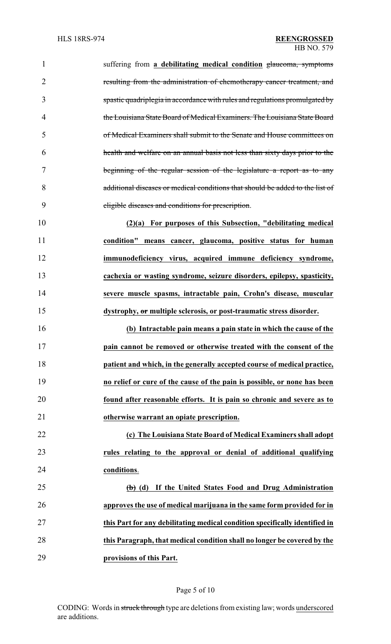suffering from **a debilitating medical condition** glaucoma, symptoms resulting from the administration of chemotherapy cancer treatment, and spastic quadriplegia in accordance with rules and regulations promulgated by the Louisiana State Board of Medical Examiners. The Louisiana State Board of Medical Examiners shall submit to the Senate and House committees on health and welfare on an annual basis not less than sixty days prior to the beginning of the regular session of the legislature a report as to any additional diseases or medical conditions that should be added to the list of eligible diseases and conditions for prescription. **(2)(a) For purposes of this Subsection, "debilitating medical condition" means cancer, glaucoma, positive status for human immunodeficiency virus, acquired immune deficiency syndrome, cachexia or wasting syndrome, seizure disorders, epilepsy, spasticity, severe muscle spasms, intractable pain, Crohn's disease, muscular dystrophy, or multiple sclerosis, or post-traumatic stress disorder. (b) Intractable pain means a pain state in which the cause of the pain cannot be removed or otherwise treated with the consent of the patient and which, in the generally accepted course of medical practice, no relief or cure of the cause of the pain is possible, or none has been**

 **found after reasonable efforts. It is pain so chronic and severe as to otherwise warrant an opiate prescription.**

 **(c) The Louisiana State Board of Medical Examiners shall adopt rules relating to the approval or denial of additional qualifying conditions**.

 **(b) (d) If the United States Food and Drug Administration approves the use of medical marijuana in the same form provided for in this Part for any debilitating medical condition specifically identified in this Paragraph, that medical condition shall no longer be covered by the provisions of this Part.**

#### Page 5 of 10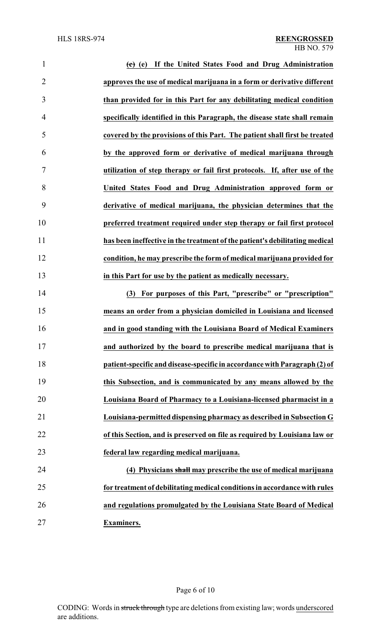| $\mathbf{1}$   | (c) (e) If the United States Food and Drug Administration                   |
|----------------|-----------------------------------------------------------------------------|
| $\overline{2}$ | approves the use of medical marijuana in a form or derivative different     |
| 3              | than provided for in this Part for any debilitating medical condition       |
| $\overline{4}$ | specifically identified in this Paragraph, the disease state shall remain   |
| 5              | covered by the provisions of this Part. The patient shall first be treated  |
| 6              | by the approved form or derivative of medical marijuana through             |
| 7              | utilization of step therapy or fail first protocols. If, after use of the   |
| 8              | United States Food and Drug Administration approved form or                 |
| 9              | derivative of medical marijuana, the physician determines that the          |
| 10             | preferred treatment required under step therapy or fail first protocol      |
| 11             | has been ineffective in the treatment of the patient's debilitating medical |
| 12             | condition, he may prescribe the form of medical marijuana provided for      |
| 13             | in this Part for use by the patient as medically necessary.                 |
| 14             | (3) For purposes of this Part, "prescribe" or "prescription"                |
| 15             | means an order from a physician domiciled in Louisiana and licensed         |
| 16             | and in good standing with the Louisiana Board of Medical Examiners          |
| 17             | and authorized by the board to prescribe medical marijuana that is          |
| 18             | patient-specific and disease-specific in accordance with Paragraph (2) of   |
| 19             | this Subsection, and is communicated by any means allowed by the            |
| 20             | Louisiana Board of Pharmacy to a Louisiana-licensed pharmacist in a         |
| 21             | Louisiana-permitted dispensing pharmacy as described in Subsection G        |
| 22             | of this Section, and is preserved on file as required by Louisiana law or   |
| 23             | federal law regarding medical marijuana.                                    |
| 24             | (4) Physicians shall may prescribe the use of medical marijuana             |
| 25             | for treatment of debilitating medical conditions in accordance with rules   |
| 26             | and regulations promulgated by the Louisiana State Board of Medical         |
| 27             | <b>Examiners.</b>                                                           |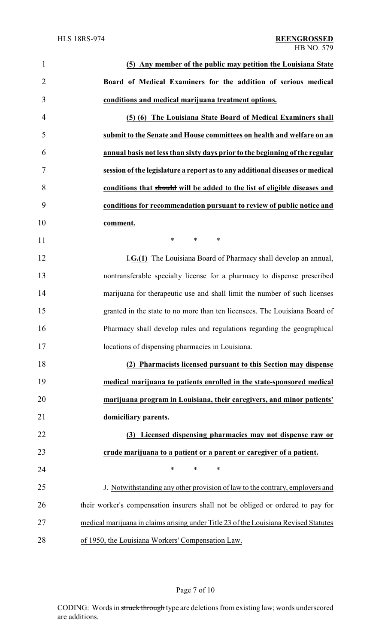| $\mathbf{1}$   | (5) Any member of the public may petition the Louisiana State                        |
|----------------|--------------------------------------------------------------------------------------|
| $\overline{2}$ | Board of Medical Examiners for the addition of serious medical                       |
| 3              | conditions and medical marijuana treatment options.                                  |
| $\overline{4}$ | (5) (6) The Louisiana State Board of Medical Examiners shall                         |
| 5              | submit to the Senate and House committees on health and welfare on an                |
| 6              | annual basis not less than sixty days prior to the beginning of the regular          |
| 7              | session of the legislature a report as to any additional diseases or medical         |
| 8              | conditions that should will be added to the list of eligible diseases and            |
| 9              | conditions for recommendation pursuant to review of public notice and                |
| 10             | comment.                                                                             |
| 11             | *<br>$\ast$<br>∗                                                                     |
| 12             | <b>H.G.(1)</b> The Louisiana Board of Pharmacy shall develop an annual,              |
| 13             | nontransferable specialty license for a pharmacy to dispense prescribed              |
| 14             | marijuana for therapeutic use and shall limit the number of such licenses            |
| 15             | granted in the state to no more than ten licensees. The Louisiana Board of           |
| 16             | Pharmacy shall develop rules and regulations regarding the geographical              |
| 17             | locations of dispensing pharmacies in Louisiana.                                     |
| 18             | (2) Pharmacists licensed pursuant to this Section may dispense                       |
| 19             | medical marijuana to patients enrolled in the state-sponsored medical                |
| 20             | marijuana program in Louisiana, their caregivers, and minor patients'                |
| 21             | domiciliary parents.                                                                 |
| 22             | (3) Licensed dispensing pharmacies may not dispense raw or                           |
| 23             | crude marijuana to a patient or a parent or caregiver of a patient.                  |
| 24             | *<br>$\ast$<br>$\ast$                                                                |
| 25             | J. Notwithstanding any other provision of law to the contrary, employers and         |
| 26             | their worker's compensation insurers shall not be obliged or ordered to pay for      |
| 27             | medical marijuana in claims arising under Title 23 of the Louisiana Revised Statutes |
| 28             | of 1950, the Louisiana Workers' Compensation Law.                                    |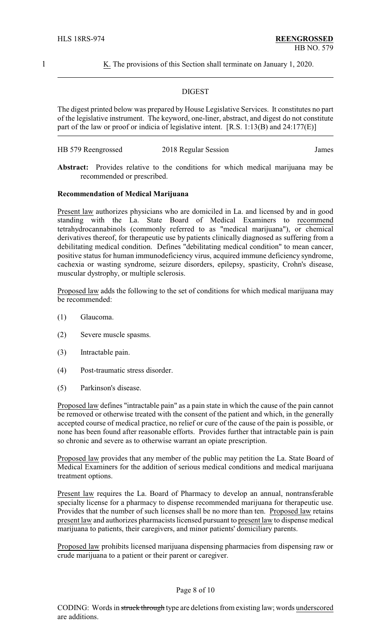1 K. The provisions of this Section shall terminate on January 1, 2020.

#### DIGEST

The digest printed below was prepared by House Legislative Services. It constitutes no part of the legislative instrument. The keyword, one-liner, abstract, and digest do not constitute part of the law or proof or indicia of legislative intent. [R.S. 1:13(B) and 24:177(E)]

| HB 579 Reengrossed | 2018 Regular Session | James |
|--------------------|----------------------|-------|
|                    |                      |       |

**Abstract:** Provides relative to the conditions for which medical marijuana may be recommended or prescribed.

#### **Recommendation of Medical Marijuana**

Present law authorizes physicians who are domiciled in La. and licensed by and in good standing with the La. State Board of Medical Examiners to recommend tetrahydrocannabinols (commonly referred to as "medical marijuana"), or chemical derivatives thereof, for therapeutic use by patients clinically diagnosed as suffering from a debilitating medical condition. Defines "debilitating medical condition" to mean cancer, positive status for human immunodeficiency virus, acquired immune deficiency syndrome, cachexia or wasting syndrome, seizure disorders, epilepsy, spasticity, Crohn's disease, muscular dystrophy, or multiple sclerosis.

Proposed law adds the following to the set of conditions for which medical marijuana may be recommended:

- (1) Glaucoma.
- (2) Severe muscle spasms.
- (3) Intractable pain.
- (4) Post-traumatic stress disorder.
- (5) Parkinson's disease.

Proposed law defines "intractable pain" as a pain state in which the cause of the pain cannot be removed or otherwise treated with the consent of the patient and which, in the generally accepted course of medical practice, no relief or cure of the cause of the pain is possible, or none has been found after reasonable efforts. Provides further that intractable pain is pain so chronic and severe as to otherwise warrant an opiate prescription.

Proposed law provides that any member of the public may petition the La. State Board of Medical Examiners for the addition of serious medical conditions and medical marijuana treatment options.

Present law requires the La. Board of Pharmacy to develop an annual, nontransferable specialty license for a pharmacy to dispense recommended marijuana for therapeutic use. Provides that the number of such licenses shall be no more than ten. Proposed law retains present law and authorizes pharmacists licensed pursuant to present law to dispense medical marijuana to patients, their caregivers, and minor patients' domiciliary parents.

Proposed law prohibits licensed marijuana dispensing pharmacies from dispensing raw or crude marijuana to a patient or their parent or caregiver.

#### Page 8 of 10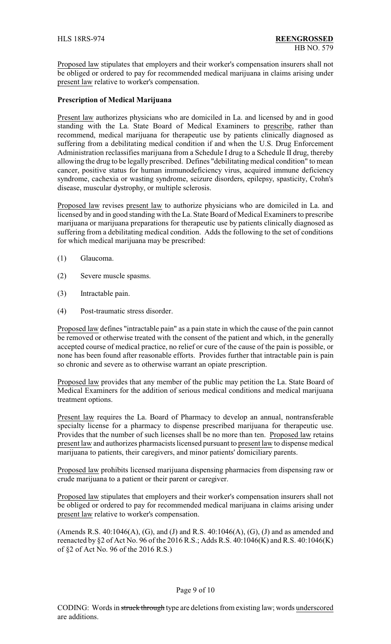Proposed law stipulates that employers and their worker's compensation insurers shall not be obliged or ordered to pay for recommended medical marijuana in claims arising under present law relative to worker's compensation.

# **Prescription of Medical Marijuana**

Present law authorizes physicians who are domiciled in La. and licensed by and in good standing with the La. State Board of Medical Examiners to prescribe, rather than recommend, medical marijuana for therapeutic use by patients clinically diagnosed as suffering from a debilitating medical condition if and when the U.S. Drug Enforcement Administration reclassifies marijuana from a Schedule I drug to a Schedule II drug, thereby allowing the drug to be legally prescribed. Defines "debilitating medical condition" to mean cancer, positive status for human immunodeficiency virus, acquired immune deficiency syndrome, cachexia or wasting syndrome, seizure disorders, epilepsy, spasticity, Crohn's disease, muscular dystrophy, or multiple sclerosis.

Proposed law revises present law to authorize physicians who are domiciled in La. and licensed by and in good standing with the La. State Board of Medical Examiners to prescribe marijuana or marijuana preparations for therapeutic use by patients clinically diagnosed as suffering from a debilitating medical condition. Adds the following to the set of conditions for which medical marijuana may be prescribed:

- (1) Glaucoma.
- (2) Severe muscle spasms.
- (3) Intractable pain.
- (4) Post-traumatic stress disorder.

Proposed law defines "intractable pain" as a pain state in which the cause of the pain cannot be removed or otherwise treated with the consent of the patient and which, in the generally accepted course of medical practice, no relief or cure of the cause of the pain is possible, or none has been found after reasonable efforts. Provides further that intractable pain is pain so chronic and severe as to otherwise warrant an opiate prescription.

Proposed law provides that any member of the public may petition the La. State Board of Medical Examiners for the addition of serious medical conditions and medical marijuana treatment options.

Present law requires the La. Board of Pharmacy to develop an annual, nontransferable specialty license for a pharmacy to dispense prescribed marijuana for therapeutic use. Provides that the number of such licenses shall be no more than ten. Proposed law retains present law and authorizes pharmacists licensed pursuant to present law to dispense medical marijuana to patients, their caregivers, and minor patients' domiciliary parents.

Proposed law prohibits licensed marijuana dispensing pharmacies from dispensing raw or crude marijuana to a patient or their parent or caregiver.

Proposed law stipulates that employers and their worker's compensation insurers shall not be obliged or ordered to pay for recommended medical marijuana in claims arising under present law relative to worker's compensation.

(Amends R.S. 40:1046(A), (G), and (J) and R.S. 40:1046(A), (G), (J) and as amended and reenacted by §2 of Act No. 96 of the 2016 R.S.; Adds R.S. 40:1046(K) and R.S. 40:1046(K) of §2 of Act No. 96 of the 2016 R.S.)

#### Page 9 of 10